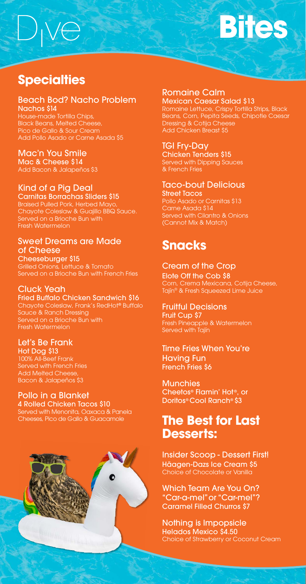# **Specialties**

### Beach Bod? Nacho Problem Nachos \$14

House-made Tortilla Chips, Black Beans, Melted Cheese, Pico de Gallo & Sour Cream Add Pollo Asado or Carne Asada \$5

### Mac'n You Smile

Mac & Cheese \$14 Add Bacon & Jalapeños \$3

# Kind of a Pig Deal

### Carnitas Borrachas Sliders \$15

Braised Pulled Pork, Herbed Mayo, Chayote Coleslaw & Guajillo BBQ Sauce. Served on a Brioche Bun with Fresh Watermelon

### Sweet Dreams are Made of Cheese

Cheeseburger \$15 Grilled Onions, Lettuce & Tomato Served on a Brioche Bun with French Fries

# Cluck Yeah

#### Fried Buffalo Chicken Sandwich \$16 Chayote Coleslaw, Frank's RedHot® Buffalo

Sauce & Ranch Dressing Served on a Brioche Bun with Fresh Watermelon

### Let's Be Frank Hot Dog \$13

100% All-Beef Frank Served with French Fries Add Melted Cheese, Bacon & Jalapeños \$3

# Pollo in a Blanket

**Munchies** Cheetos<sup>®</sup> Flamin' Hot<sup>®</sup>, or Doritos® Cool Ranch® \$3

4 Rolled Chicken Tacos \$10 Served with Menonita, Oaxaca & Panela Cheeses, Pico de Gallo & Guacamole

### Romaine Calm Mexican Caesar Salad \$13

Romaine Lettuce, Crispy Tortilla Strips, Black Beans, Corn, Pepita Seeds, Chipotle Caesar Dressing & Cotija Cheese Add Chicken Breast \$5

## TGI Fry-Day

Chicken Tenders \$15 Served with Dipping Sauces & French Fries

# Taco-bout Delicious

Street Tacos Pollo Asado or Carnitas \$13 Carne Asada \$14 Served with Cilantro & Onions (Cannot Mix & Match)

# **Snacks**

### Cream of the Crop

Elote Off the Cob \$8 Corn, Crema Mexicana, Cotija Cheese, Tajín® & Fresh Squeezed Lime Juice

### Fruitful Decisions

Fruit Cup \$7 Fresh Pineapple & Watermelon Served with Tajín

### Time Fries When You're Having Fun French Fries \$6

# **The Best for Last Desserts:**

Insider Scoop - Dessert First! Häagen-Dazs Ice Cream \$5 Choice of Chocolate or Vanilla

Which Team Are You On? "Car-a-mel" or "Car-mel"? Caramel Filled Churros \$7

Nothing is Impopsicle Helados Mexico \$4.50 Choice of Strawberry or Coconut Cream

# **Bites**